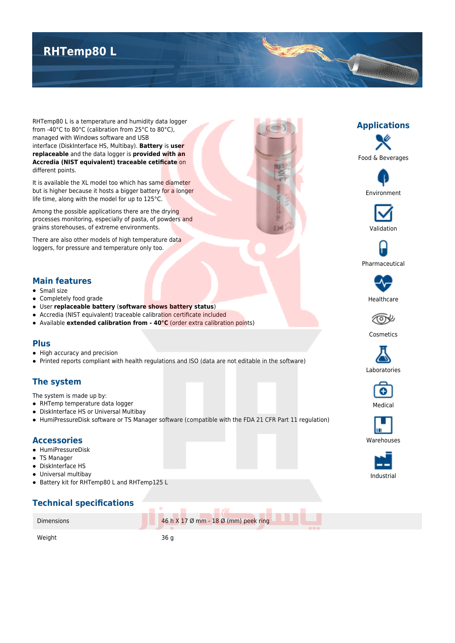# **RHTemp80 L**

RHTemp80 L is a temperature and humidity data logger from -40°C to 80°C (calibration from 25°C to 80°C), managed with Windows software and USB interface (DiskInterface HS, Multibay). **Battery** is **user replaceable** and the data logger is **provided with an Accredia (NIST equivalent) traceable cetificate** on different points.

It is available the XL model too which has same diameter but is higher because it hosts a bigger battery for a longer life time, along with the model for up to 125°C.

Among the possible applications there are the drying processes monitoring, especially of pasta, of powders and grains storehouses, of extreme environments.

There are also other models of high temperature data loggers, for pressure and temperature only too.

#### **Main features**

- **Small size**
- Completely food grade
- User **replaceable battery** (**software shows battery status**)
- Accredia (NIST equivalent) traceable calibration certificate included
- Available **extended calibration from 40°C** (order extra calibration points)

### **Plus**

- High accuracy and precision
- Printed reports compliant with health regulations and ISO (data are not editable in the software)

## **The system**

The system is made up by:

- RHTemp temperature data logger
- DiskInterface HS or Universal Multibay
- HumiPressureDisk software or TS Manager software (compatible with the FDA 21 CFR Part 11 regulation)

#### **Accessories**

- HumiPressureDisk
- TS Manager
- DiskInterface HS
- Universal multibay
- Battery kit for RHTemp80 L and RHTemp125 L

## **Technical specifications**





T





Pharmaceutical





Cosmetics







**Warehouses**